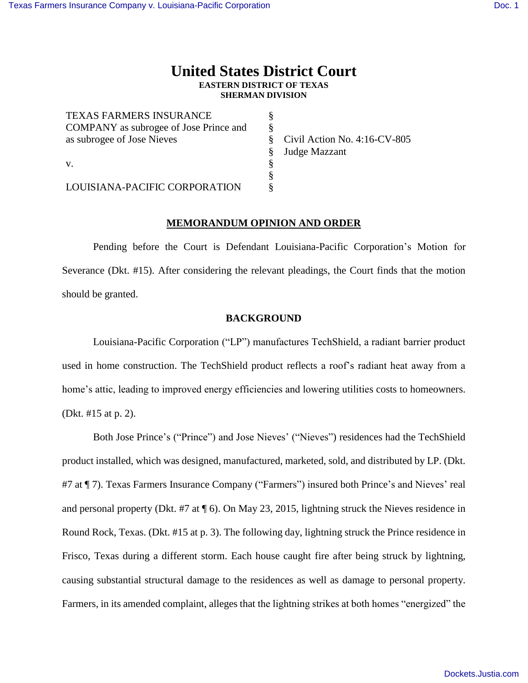# **United States District Court EASTERN DISTRICT OF TEXAS SHERMAN DIVISION**

| <b>TEXAS FARMERS INSURANCE</b>                |                                 |
|-----------------------------------------------|---------------------------------|
| <b>COMPANY</b> as subrogee of Jose Prince and |                                 |
| as subrogee of Jose Nieves                    | Civil Action No. $4:16$ -CV-805 |
|                                               | Judge Mazzant                   |
| V.                                            |                                 |
|                                               |                                 |
| LOUISIANA-PACIFIC CORPORATION                 |                                 |

## **MEMORANDUM OPINION AND ORDER**

Pending before the Court is Defendant Louisiana-Pacific Corporation's Motion for Severance (Dkt. #15). After considering the relevant pleadings, the Court finds that the motion should be granted.

## **BACKGROUND**

Louisiana-Pacific Corporation ("LP") manufactures TechShield, a radiant barrier product used in home construction. The TechShield product reflects a roof's radiant heat away from a home's attic, leading to improved energy efficiencies and lowering utilities costs to homeowners. (Dkt. #15 at p. 2).

Both Jose Prince's ("Prince") and Jose Nieves' ("Nieves") residences had the TechShield product installed, which was designed, manufactured, marketed, sold, and distributed by LP. (Dkt. #7 at ¶ 7). Texas Farmers Insurance Company ("Farmers") insured both Prince's and Nieves' real and personal property (Dkt. #7 at ¶ 6). On May 23, 2015, lightning struck the Nieves residence in Round Rock, Texas. (Dkt. #15 at p. 3). The following day, lightning struck the Prince residence in Frisco, Texas during a different storm. Each house caught fire after being struck by lightning, causing substantial structural damage to the residences as well as damage to personal property. Farmers, in its amended complaint, alleges that the lightning strikes at both homes "energized" the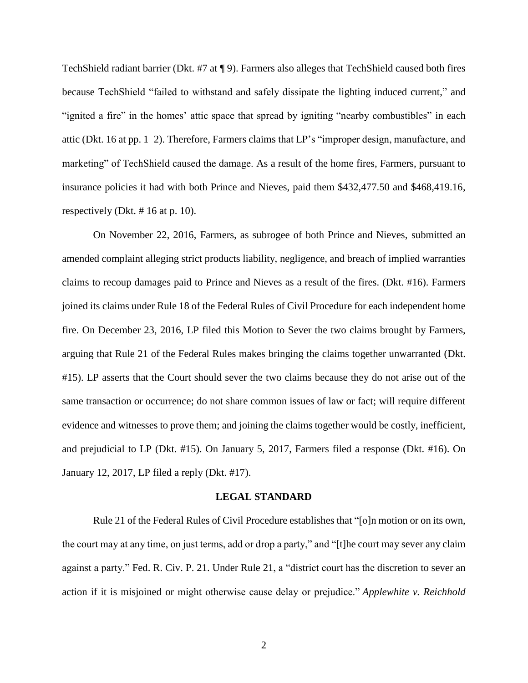TechShield radiant barrier (Dkt. #7 at ¶ 9). Farmers also alleges that TechShield caused both fires because TechShield "failed to withstand and safely dissipate the lighting induced current," and "ignited a fire" in the homes' attic space that spread by igniting "nearby combustibles" in each attic (Dkt. 16 at pp. 1–2). Therefore, Farmers claims that LP's "improper design, manufacture, and marketing" of TechShield caused the damage. As a result of the home fires, Farmers, pursuant to insurance policies it had with both Prince and Nieves, paid them \$432,477.50 and \$468,419.16, respectively (Dkt. # 16 at p. 10).

On November 22, 2016, Farmers, as subrogee of both Prince and Nieves, submitted an amended complaint alleging strict products liability, negligence, and breach of implied warranties claims to recoup damages paid to Prince and Nieves as a result of the fires. (Dkt. #16). Farmers joined its claims under Rule 18 of the Federal Rules of Civil Procedure for each independent home fire. On December 23, 2016, LP filed this Motion to Sever the two claims brought by Farmers, arguing that Rule 21 of the Federal Rules makes bringing the claims together unwarranted (Dkt. #15). LP asserts that the Court should sever the two claims because they do not arise out of the same transaction or occurrence; do not share common issues of law or fact; will require different evidence and witnesses to prove them; and joining the claims together would be costly, inefficient, and prejudicial to LP (Dkt. #15). On January 5, 2017, Farmers filed a response (Dkt. #16). On January 12, 2017, LP filed a reply (Dkt. #17).

#### **LEGAL STANDARD**

Rule 21 of the Federal Rules of Civil Procedure establishes that "[o]n motion or on its own, the court may at any time, on just terms, add or drop a party," and "[t]he court may sever any claim against a party." Fed. R. Civ. P. 21. Under Rule 21, a "district court has the discretion to sever an action if it is misjoined or might otherwise cause delay or prejudice." *Applewhite v. Reichhold*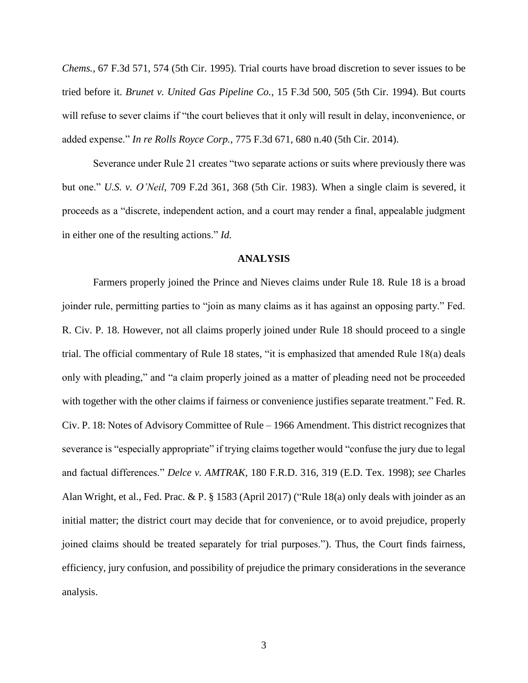*Chems.,* 67 F.3d 571, 574 (5th Cir. 1995). Trial courts have broad discretion to sever issues to be tried before it. *Brunet v. United Gas Pipeline Co.*, 15 F.3d 500, 505 (5th Cir. 1994). But courts will refuse to sever claims if "the court believes that it only will result in delay, inconvenience, or added expense." *In re Rolls Royce Corp.*, 775 F.3d 671, 680 n.40 (5th Cir. 2014).

Severance under Rule 21 creates "two separate actions or suits where previously there was but one." *U.S. v. O'Neil*, 709 F.2d 361, 368 (5th Cir. 1983). When a single claim is severed, it proceeds as a "discrete, independent action, and a court may render a final, appealable judgment in either one of the resulting actions." *Id.*

### **ANALYSIS**

Farmers properly joined the Prince and Nieves claims under Rule 18. Rule 18 is a broad joinder rule, permitting parties to "join as many claims as it has against an opposing party." Fed. R. Civ. P. 18. However, not all claims properly joined under Rule 18 should proceed to a single trial. The official commentary of Rule 18 states, "it is emphasized that amended Rule 18(a) deals only with pleading," and "a claim properly joined as a matter of pleading need not be proceeded with together with the other claims if fairness or convenience justifies separate treatment." Fed. R. Civ. P. 18: Notes of Advisory Committee of Rule – 1966 Amendment. This district recognizes that severance is "especially appropriate" if trying claims together would "confuse the jury due to legal and factual differences." *Delce v. AMTRAK*, 180 F.R.D. 316, 319 (E.D. Tex. 1998); *see* Charles Alan Wright, et al., Fed. Prac. & P. § 1583 (April 2017) ("Rule 18(a) only deals with joinder as an initial matter; the district court may decide that for convenience, or to avoid prejudice, properly joined claims should be treated separately for trial purposes."). Thus, the Court finds fairness, efficiency, jury confusion, and possibility of prejudice the primary considerations in the severance analysis.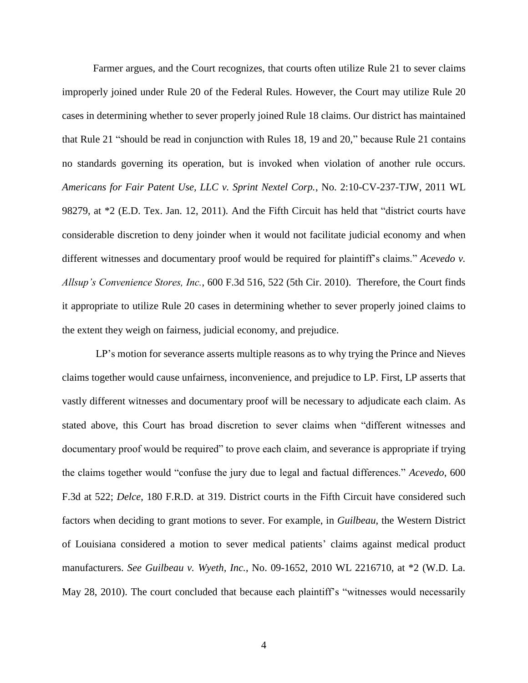Farmer argues, and the Court recognizes, that courts often utilize Rule 21 to sever claims improperly joined under Rule 20 of the Federal Rules. However, the Court may utilize Rule 20 cases in determining whether to sever properly joined Rule 18 claims. Our district has maintained that [Rule 21](https://1.next.westlaw.com/Link/Document/FullText?findType=L&pubNum=1004365&cite=USFRCPR21&originatingDoc=Ida9511ab1ef811e0aa23bccc834e9520&refType=LQ&originationContext=document&transitionType=DocumentItem&contextData=%28sc.Search%29) "should be read in conjunction with Rules 18, 19 and 20," because [Rule 21](https://1.next.westlaw.com/Link/Document/FullText?findType=L&pubNum=1004365&cite=USFRCPR21&originatingDoc=Ida9511ab1ef811e0aa23bccc834e9520&refType=LQ&originationContext=document&transitionType=DocumentItem&contextData=%28sc.Search%29) contains no standards governing its operation, but is invoked when violation of another rule occurs. *Americans for Fair Patent Use, LLC v. Sprint Nextel Corp.*, No. 2:10-CV-237-TJW, 2011 WL 98279, at \*2 (E.D. Tex. Jan. 12, 2011). And the Fifth Circuit has held that "district courts have considerable discretion to deny joinder when it would not facilitate judicial economy and when different witnesses and documentary proof would be required for plaintiff's claims." *Acevedo v. Allsup's Convenience Stores, Inc.*, 600 F.3d 516, 522 (5th Cir. 2010). Therefore, the Court finds it appropriate to utilize Rule 20 cases in determining whether to sever properly joined claims to the extent they weigh on fairness, judicial economy, and prejudice.

LP's motion for severance asserts multiple reasons as to why trying the Prince and Nieves claims together would cause unfairness, inconvenience, and prejudice to LP. First, LP asserts that vastly different witnesses and documentary proof will be necessary to adjudicate each claim. As stated above, this Court has broad discretion to sever claims when "different witnesses and documentary proof would be required" to prove each claim, and severance is appropriate if trying the claims together would "confuse the jury due to legal and factual differences." *Acevedo*, 600 F.3d at 522; *Delce*, 180 F.R.D. at 319. District courts in the Fifth Circuit have considered such factors when deciding to grant motions to sever. For example, in *Guilbeau*, the Western District of Louisiana considered a motion to sever medical patients' claims against medical product manufacturers. *See Guilbeau v. Wyeth, Inc.*, No. 09-1652, 2010 WL 2216710, at \*2 (W.D. La. May 28, 2010). The court concluded that because each plaintiff's "witnesses would necessarily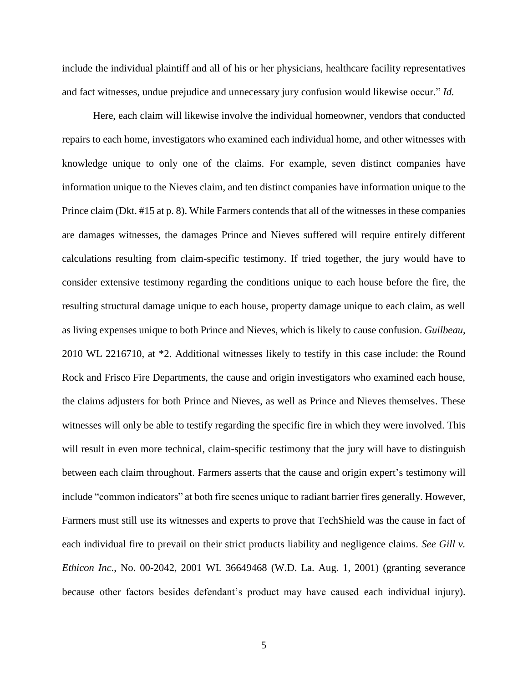include the individual plaintiff and all of his or her physicians, healthcare facility representatives and fact witnesses, undue prejudice and unnecessary jury confusion would likewise occur." *Id.*

Here, each claim will likewise involve the individual homeowner, vendors that conducted repairs to each home, investigators who examined each individual home, and other witnesses with knowledge unique to only one of the claims. For example, seven distinct companies have information unique to the Nieves claim, and ten distinct companies have information unique to the Prince claim (Dkt. #15 at p. 8). While Farmers contends that all of the witnesses in these companies are damages witnesses, the damages Prince and Nieves suffered will require entirely different calculations resulting from claim-specific testimony. If tried together, the jury would have to consider extensive testimony regarding the conditions unique to each house before the fire, the resulting structural damage unique to each house, property damage unique to each claim, as well as living expenses unique to both Prince and Nieves, which is likely to cause confusion. *Guilbeau*, 2010 WL 2216710, at \*2. Additional witnesses likely to testify in this case include: the Round Rock and Frisco Fire Departments, the cause and origin investigators who examined each house, the claims adjusters for both Prince and Nieves, as well as Prince and Nieves themselves. These witnesses will only be able to testify regarding the specific fire in which they were involved. This will result in even more technical, claim-specific testimony that the jury will have to distinguish between each claim throughout. Farmers asserts that the cause and origin expert's testimony will include "common indicators" at both fire scenes unique to radiant barrier fires generally. However, Farmers must still use its witnesses and experts to prove that TechShield was the cause in fact of each individual fire to prevail on their strict products liability and negligence claims. *See Gill v. Ethicon Inc.*, No. 00-2042, 2001 WL 36649468 (W.D. La. Aug. 1, 2001) (granting severance because other factors besides defendant's product may have caused each individual injury).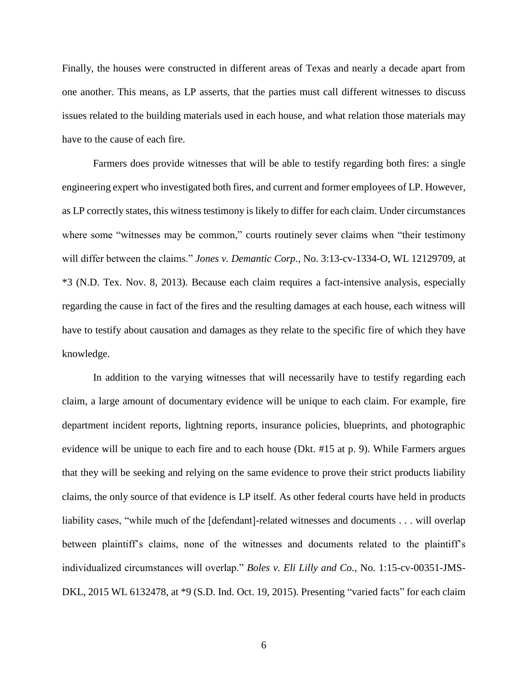Finally, the houses were constructed in different areas of Texas and nearly a decade apart from one another. This means, as LP asserts, that the parties must call different witnesses to discuss issues related to the building materials used in each house, and what relation those materials may have to the cause of each fire.

Farmers does provide witnesses that will be able to testify regarding both fires: a single engineering expert who investigated both fires, and current and former employees of LP. However, as LP correctly states, this witness testimony is likely to differ for each claim. Under circumstances where some "witnesses may be common," courts routinely sever claims when "their testimony will differ between the claims." *Jones v. Demantic Corp.*, No. 3:13-cv-1334-O, WL 12129709, at \*3 (N.D. Tex. Nov. 8, 2013). Because each claim requires a fact-intensive analysis, especially regarding the cause in fact of the fires and the resulting damages at each house, each witness will have to testify about causation and damages as they relate to the specific fire of which they have knowledge.

In addition to the varying witnesses that will necessarily have to testify regarding each claim, a large amount of documentary evidence will be unique to each claim. For example, fire department incident reports, lightning reports, insurance policies, blueprints, and photographic evidence will be unique to each fire and to each house (Dkt. #15 at p. 9). While Farmers argues that they will be seeking and relying on the same evidence to prove their strict products liability claims, the only source of that evidence is LP itself. As other federal courts have held in products liability cases, "while much of the [defendant]-related witnesses and documents . . . will overlap between plaintiff's claims, none of the witnesses and documents related to the plaintiff's individualized circumstances will overlap." *Boles v. Eli Lilly and Co.*, No. 1:15-cv-00351-JMS-DKL, 2015 WL 6132478, at \*9 (S.D. Ind. Oct. 19, 2015). Presenting "varied facts" for each claim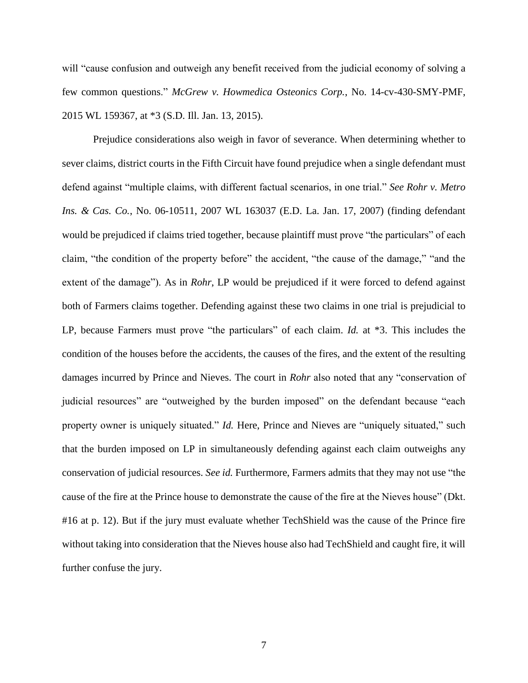will "cause confusion and outweigh any benefit received from the judicial economy of solving a few common questions." *McGrew v. Howmedica Osteonics Corp.*, No. 14-cv-430-SMY-PMF, 2015 WL 159367, at \*3 (S.D. Ill. Jan. 13, 2015).

Prejudice considerations also weigh in favor of severance. When determining whether to sever claims, district courts in the Fifth Circuit have found prejudice when a single defendant must defend against "multiple claims, with different factual scenarios, in one trial." *See Rohr v. Metro Ins. & Cas. Co.*, No. 06-10511, 2007 WL 163037 (E.D. La. Jan. 17, 2007) (finding defendant would be prejudiced if claims tried together, because plaintiff must prove "the particulars" of each claim, "the condition of the property before" the accident, "the cause of the damage," "and the extent of the damage"). As in *Rohr*, LP would be prejudiced if it were forced to defend against both of Farmers claims together. Defending against these two claims in one trial is prejudicial to LP, because Farmers must prove "the particulars" of each claim. *Id.* at \*3. This includes the condition of the houses before the accidents, the causes of the fires, and the extent of the resulting damages incurred by Prince and Nieves. The court in *Rohr* also noted that any "conservation of judicial resources" are "outweighed by the burden imposed" on the defendant because "each property owner is uniquely situated." *Id.* Here, Prince and Nieves are "uniquely situated," such that the burden imposed on LP in simultaneously defending against each claim outweighs any conservation of judicial resources. *See id.* Furthermore, Farmers admits that they may not use "the cause of the fire at the Prince house to demonstrate the cause of the fire at the Nieves house" (Dkt. #16 at p. 12). But if the jury must evaluate whether TechShield was the cause of the Prince fire without taking into consideration that the Nieves house also had TechShield and caught fire, it will further confuse the jury.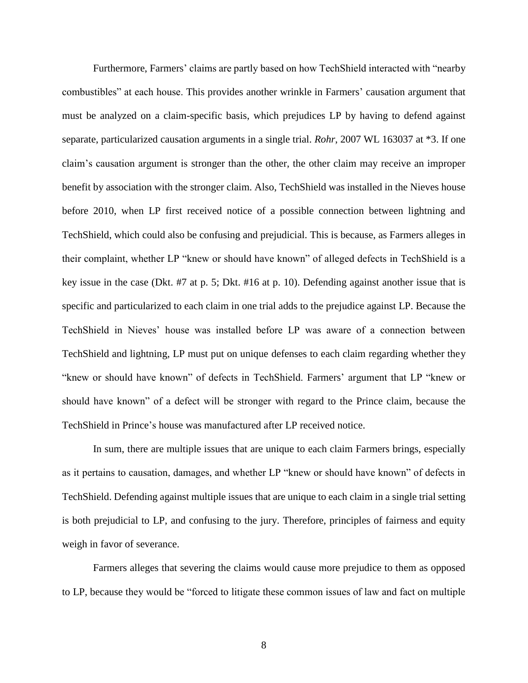Furthermore, Farmers' claims are partly based on how TechShield interacted with "nearby combustibles" at each house. This provides another wrinkle in Farmers' causation argument that must be analyzed on a claim-specific basis, which prejudices LP by having to defend against separate, particularized causation arguments in a single trial. *Rohr*, 2007 WL 163037 at \*3. If one claim's causation argument is stronger than the other, the other claim may receive an improper benefit by association with the stronger claim. Also, TechShield was installed in the Nieves house before 2010, when LP first received notice of a possible connection between lightning and TechShield, which could also be confusing and prejudicial. This is because, as Farmers alleges in their complaint, whether LP "knew or should have known" of alleged defects in TechShield is a key issue in the case (Dkt. #7 at p. 5; Dkt. #16 at p. 10). Defending against another issue that is specific and particularized to each claim in one trial adds to the prejudice against LP. Because the TechShield in Nieves' house was installed before LP was aware of a connection between TechShield and lightning, LP must put on unique defenses to each claim regarding whether they "knew or should have known" of defects in TechShield. Farmers' argument that LP "knew or should have known" of a defect will be stronger with regard to the Prince claim, because the TechShield in Prince's house was manufactured after LP received notice.

In sum, there are multiple issues that are unique to each claim Farmers brings, especially as it pertains to causation, damages, and whether LP "knew or should have known" of defects in TechShield. Defending against multiple issues that are unique to each claim in a single trial setting is both prejudicial to LP, and confusing to the jury. Therefore, principles of fairness and equity weigh in favor of severance.

Farmers alleges that severing the claims would cause more prejudice to them as opposed to LP, because they would be "forced to litigate these common issues of law and fact on multiple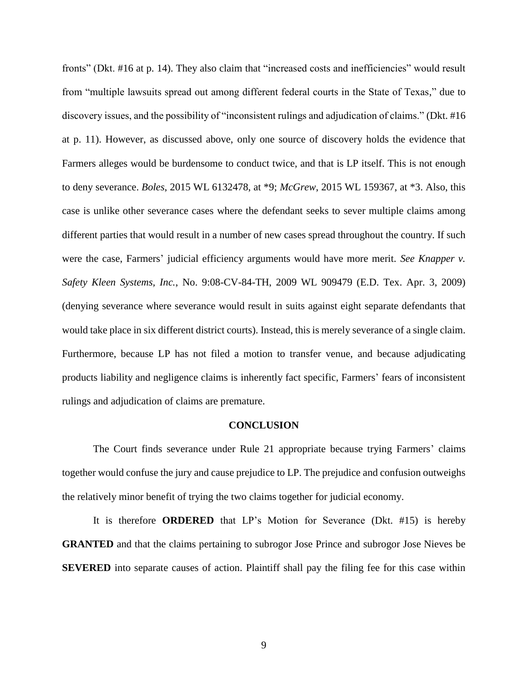fronts" (Dkt. #16 at p. 14). They also claim that "increased costs and inefficiencies" would result from "multiple lawsuits spread out among different federal courts in the State of Texas," due to discovery issues, and the possibility of "inconsistent rulings and adjudication of claims." (Dkt. #16 at p. 11). However, as discussed above, only one source of discovery holds the evidence that Farmers alleges would be burdensome to conduct twice, and that is LP itself. This is not enough to deny severance. *Boles*, 2015 WL 6132478, at \*9; *McGrew*, 2015 WL 159367, at \*3. Also, this case is unlike other severance cases where the defendant seeks to sever multiple claims among different parties that would result in a number of new cases spread throughout the country. If such were the case, Farmers' judicial efficiency arguments would have more merit. *See Knapper v. Safety Kleen Systems, Inc.*, No. 9:08-CV-84-TH, 2009 WL 909479 (E.D. Tex. Apr. 3, 2009) (denying severance where severance would result in suits against eight separate defendants that would take place in six different district courts). Instead, this is merely severance of a single claim. Furthermore, because LP has not filed a motion to transfer venue, and because adjudicating products liability and negligence claims is inherently fact specific, Farmers' fears of inconsistent rulings and adjudication of claims are premature.

#### **CONCLUSION**

The Court finds severance under Rule 21 appropriate because trying Farmers' claims together would confuse the jury and cause prejudice to LP. The prejudice and confusion outweighs the relatively minor benefit of trying the two claims together for judicial economy.

It is therefore **ORDERED** that LP's Motion for Severance (Dkt. #15) is hereby **GRANTED** and that the claims pertaining to subrogor Jose Prince and subrogor Jose Nieves be **SEVERED** into separate causes of action. Plaintiff shall pay the filing fee for this case within

9